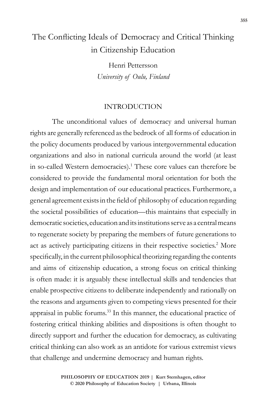# The Conflicting Ideals of Democracy and Critical Thinking in Citizenship Education

Henri Pettersson *University of Oulu, Finland*

### INTRODUCTION

The unconditional values of democracy and universal human rights are generally referenced as the bedrock of all forms of education in the policy documents produced by various intergovernmental education organizations and also in national curricula around the world (at least in so-called Western democracies).<sup>1</sup> These core values can therefore be considered to provide the fundamental moral orientation for both the design and implementation of our educational practices. Furthermore, a general agreement exists in the field of philosophy of education regarding the societal possibilities of education—this maintains that especially in democratic societies, education and its institutions serve as a central means to regenerate society by preparing the members of future generations to act as actively participating citizens in their respective societies.<sup>2</sup> More specifically, in the current philosophical theorizing regarding the contents and aims of citizenship education, a strong focus on critical thinking is often made: it is arguably these intellectual skills and tendencies that enable prospective citizens to deliberate independently and rationally on the reasons and arguments given to competing views presented for their appraisal in public forums.<sup>33</sup> In this manner, the educational practice of fostering critical thinking abilities and dispositions is often thought to directly support and further the education for democracy, as cultivating critical thinking can also work as an antidote for various extremist views that challenge and undermine democracy and human rights.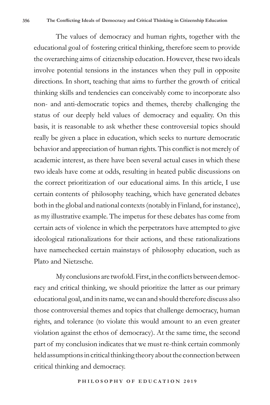The values of democracy and human rights, together with the educational goal of fostering critical thinking, therefore seem to provide the overarching aims of citizenship education. However, these two ideals involve potential tensions in the instances when they pull in opposite directions. In short, teaching that aims to further the growth of critical thinking skills and tendencies can conceivably come to incorporate also non- and anti-democratic topics and themes, thereby challenging the status of our deeply held values of democracy and equality. On this basis, it is reasonable to ask whether these controversial topics should really be given a place in education, which seeks to nurture democratic behavior and appreciation of human rights. This conflict is not merely of academic interest, as there have been several actual cases in which these two ideals have come at odds, resulting in heated public discussions on the correct prioritization of our educational aims. In this article, I use certain contents of philosophy teaching, which have generated debates both in the global and national contexts (notably in Finland, for instance), as my illustrative example. The impetus for these debates has come from certain acts of violence in which the perpetrators have attempted to give ideological rationalizations for their actions, and these rationalizations have namechecked certain mainstays of philosophy education, such as Plato and Nietzsche.

My conclusions are twofold. First, in the conflicts between democracy and critical thinking, we should prioritize the latter as our primary educational goal, and in its name, we can and should therefore discuss also those controversial themes and topics that challenge democracy, human rights, and tolerance (to violate this would amount to an even greater violation against the ethos of democracy). At the same time, the second part of my conclusion indicates that we must re-think certain commonly held assumptions in critical thinking theory about the connection between critical thinking and democracy.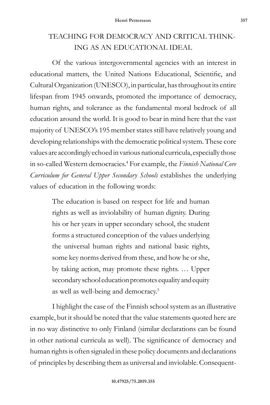## TEACHING FOR DEMOCRACY AND CRITICAL THINK-ING AS AN EDUCATIONAL IDEAL

Of the various intergovernmental agencies with an interest in educational matters, the United Nations Educational, Scientific, and Cultural Organization (UNESCO), in particular, has throughout its entire lifespan from 1945 onwards, promoted the importance of democracy, human rights, and tolerance as the fundamental moral bedrock of all education around the world. It is good to bear in mind here that the vast majority of UNESCO's 195 member states still have relatively young and developing relationships with the democratic political system. These core values are accordingly echoed in various national curricula, especially those in so-called Western democracies.4 For example, the *Finnish National Core Curriculum for General Upper Secondary Schools* establishes the underlying values of education in the following words:

> The education is based on respect for life and human rights as well as inviolability of human dignity. During his or her years in upper secondary school, the student forms a structured conception of the values underlying the universal human rights and national basic rights, some key norms derived from these, and how he or she, by taking action, may promote these rights. … Upper secondary school education promotes equality and equity as well as well-being and democracy.5

I highlight the case of the Finnish school system as an illustrative example, but it should be noted that the value statements quoted here are in no way distinctive to only Finland (similar declarations can be found in other national curricula as well). The significance of democracy and human rights is often signaled in these policy documents and declarations of principles by describing them as universal and inviolable. Consequent-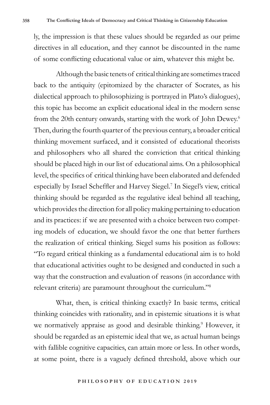ly, the impression is that these values should be regarded as our prime directives in all education, and they cannot be discounted in the name of some conflicting educational value or aim, whatever this might be.

Although the basic tenets of critical thinking are sometimes traced back to the antiquity (epitomized by the character of Socrates, as his dialectical approach to philosophizing is portrayed in Plato's dialogues), this topic has become an explicit educational ideal in the modern sense from the 20th century onwards, starting with the work of John Dewey.<sup>6</sup> Then, during the fourth quarter of the previous century, a broader critical thinking movement surfaced, and it consisted of educational theorists and philosophers who all shared the conviction that critical thinking should be placed high in our list of educational aims. On a philosophical level, the specifics of critical thinking have been elaborated and defended especially by Israel Scheffler and Harvey Siegel.<sup>7</sup> In Siegel's view, critical thinking should be regarded as the regulative ideal behind all teaching, which provides the direction for all policy making pertaining to education and its practices: if we are presented with a choice between two competing models of education, we should favor the one that better furthers the realization of critical thinking. Siegel sums his position as follows: "To regard critical thinking as a fundamental educational aim is to hold that educational activities ought to be designed and conducted in such a way that the construction and evaluation of reasons (in accordance with relevant criteria) are paramount throughout the curriculum."<sup>8</sup>

What, then, is critical thinking exactly? In basic terms, critical thinking coincides with rationality, and in epistemic situations it is what we normatively appraise as good and desirable thinking.<sup>9</sup> However, it should be regarded as an epistemic ideal that we, as actual human beings with fallible cognitive capacities, can attain more or less. In other words, at some point, there is a vaguely defined threshold, above which our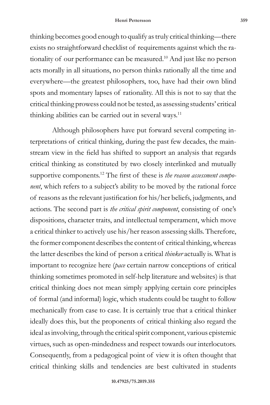#### **Henri Pettersson 359**

thinking becomes good enough to qualify as truly critical thinking—there exists no straightforward checklist of requirements against which the rationality of our performance can be measured.<sup>10</sup> And just like no person acts morally in all situations, no person thinks rationally all the time and everywhere—the greatest philosophers, too, have had their own blind spots and momentary lapses of rationality. All this is not to say that the critical thinking prowess could not be tested, as assessing students' critical thinking abilities can be carried out in several ways.<sup>11</sup>

Although philosophers have put forward several competing interpretations of critical thinking, during the past few decades, the mainstream view in the field has shifted to support an analysis that regards critical thinking as constituted by two closely interlinked and mutually supportive components.12 The first of these is *the reason assessment component*, which refers to a subject's ability to be moved by the rational force of reasons as the relevant justification for his/her beliefs, judgments, and actions. The second part is *the critical spirit component*, consisting of one's dispositions, character traits, and intellectual temperament, which move a critical thinker to actively use his/her reason assessing skills. Therefore, the former component describes the content of critical thinking, whereas the latter describes the kind of person a critical *thinker* actually is. What is important to recognize here (*pace* certain narrow conceptions of critical thinking sometimes promoted in self-help literature and websites) is that critical thinking does not mean simply applying certain core principles of formal (and informal) logic, which students could be taught to follow mechanically from case to case. It is certainly true that a critical thinker ideally does this, but the proponents of critical thinking also regard the ideal as involving, through the critical spirit component, various epistemic virtues, such as open-mindedness and respect towards our interlocutors. Consequently, from a pedagogical point of view it is often thought that critical thinking skills and tendencies are best cultivated in students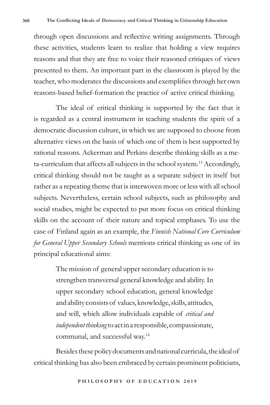through open discussions and reflective writing assignments. Through these activities, students learn to realize that holding a view requires reasons and that they are free to voice their reasoned critiques of views presented to them. An important part in the classroom is played by the teacher, who moderates the discussions and exemplifies through her own reasons-based belief-formation the practice of active critical thinking.

The ideal of critical thinking is supported by the fact that it is regarded as a central instrument in teaching students the spirit of a democratic discussion culture, in which we are supposed to choose from alternative views on the basis of which one of them is best supported by rational reasons. Ackerman and Perkins describe thinking skills as a meta-curriculum that affects all subjects in the school system.<sup>13</sup> Accordingly, critical thinking should not be taught as a separate subject in itself but rather as a repeating theme that is interwoven more or less with all school subjects. Nevertheless, certain school subjects, such as philosophy and social studies, might be expected to put more focus on critical thinking skills on the account of their nature and topical emphases. To use the case of Finland again as an example, the *Finnish National Core Curriculum for General Upper Secondary Schools* mentions critical thinking as one of its principal educational aims:

> The mission of general upper secondary education is to strengthen transversal general knowledge and ability. In upper secondary school education, general knowledge and ability consists of values, knowledge, skills, attitudes, and will, which allow individuals capable of *critical and independent thinking* to act in a responsible, compassionate, communal, and successful way.14

Besides these policy documents and national curricula, the ideal of critical thinking has also been embraced by certain prominent politicians,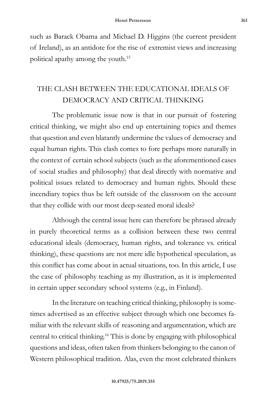such as Barack Obama and Michael D. Higgins (the current president of Ireland), as an antidote for the rise of extremist views and increasing political apathy among the youth.15

## THE CLASH BETWEEN THE EDUCATIONAL IDEALS OF DEMOCRACY AND CRITICAL THINKING

The problematic issue now is that in our pursuit of fostering critical thinking, we might also end up entertaining topics and themes that question and even blatantly undermine the values of democracy and equal human rights. This clash comes to fore perhaps more naturally in the context of certain school subjects (such as the aforementioned cases of social studies and philosophy) that deal directly with normative and political issues related to democracy and human rights. Should these incendiary topics thus be left outside of the classroom on the account that they collide with our most deep-seated moral ideals?

Although the central issue here can therefore be phrased already in purely theoretical terms as a collision between these two central educational ideals (democracy, human rights, and tolerance vs. critical thinking), these questions are not mere idle hypothetical speculation, as this conflict has come about in actual situations, too. In this article, I use the case of philosophy teaching as my illustration, as it is implemented in certain upper secondary school systems (e.g., in Finland).

In the literature on teaching critical thinking, philosophy is sometimes advertised as an effective subject through which one becomes familiar with the relevant skills of reasoning and argumentation, which are central to critical thinking.<sup>16</sup> This is done by engaging with philosophical questions and ideas, often taken from thinkers belonging to the canon of Western philosophical tradition. Alas, even the most celebrated thinkers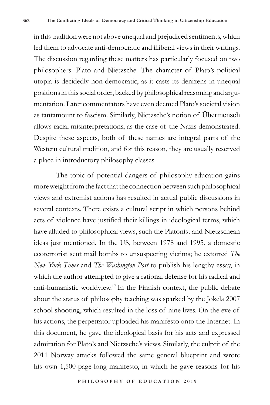in this tradition were not above unequal and prejudiced sentiments, which led them to advocate anti-democratic and illiberal views in their writings. The discussion regarding these matters has particularly focused on two philosophers: Plato and Nietzsche. The character of Plato's political utopia is decidedly non-democratic, as it casts its denizens in unequal positions in this social order, backed by philosophical reasoning and argumentation. Later commentators have even deemed Plato's societal vision as tantamount to fascism. Similarly, Nietzsche's notion of Übermensch allows racial misinterpretations, as the case of the Nazis demonstrated. Despite these aspects, both of these names are integral parts of the Western cultural tradition, and for this reason, they are usually reserved a place in introductory philosophy classes.

The topic of potential dangers of philosophy education gains more weight from the fact that the connection between such philosophical views and extremist actions has resulted in actual public discussions in several contexts. There exists a cultural script in which persons behind acts of violence have justified their killings in ideological terms, which have alluded to philosophical views, such the Platonist and Nietzschean ideas just mentioned. In the US, between 1978 and 1995, a domestic ecoterrorist sent mail bombs to unsuspecting victims; he extorted *The New York Times* and *The Washington Post* to publish his lengthy essay, in which the author attempted to give a rational defense for his radical and anti-humanistic worldview.<sup>17</sup> In the Finnish context, the public debate about the status of philosophy teaching was sparked by the Jokela 2007 school shooting, which resulted in the loss of nine lives. On the eve of his actions, the perpetrator uploaded his manifesto onto the Internet. In this document, he gave the ideological basis for his acts and expressed admiration for Plato's and Nietzsche's views. Similarly, the culprit of the 2011 Norway attacks followed the same general blueprint and wrote his own 1,500-page-long manifesto, in which he gave reasons for his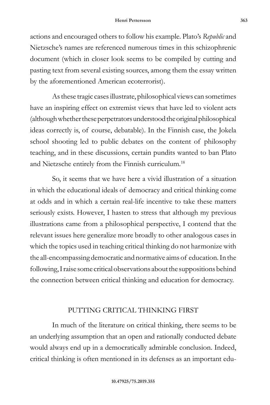actions and encouraged others to follow his example. Plato's *Republic* and Nietzsche's names are referenced numerous times in this schizophrenic document (which in closer look seems to be compiled by cutting and pasting text from several existing sources, among them the essay written by the aforementioned American ecoterrorist).

As these tragic cases illustrate, philosophical views can sometimes have an inspiring effect on extremist views that have led to violent acts (although whether these perpetrators understood the original philosophical ideas correctly is, of course, debatable). In the Finnish case, the Jokela school shooting led to public debates on the content of philosophy teaching, and in these discussions, certain pundits wanted to ban Plato and Nietzsche entirely from the Finnish curriculum.18

So, it seems that we have here a vivid illustration of a situation in which the educational ideals of democracy and critical thinking come at odds and in which a certain real-life incentive to take these matters seriously exists. However, I hasten to stress that although my previous illustrations came from a philosophical perspective, I contend that the relevant issues here generalize more broadly to other analogous cases in which the topics used in teaching critical thinking do not harmonize with the all-encompassing democratic and normative aims of education. In the following, I raise some critical observations about the suppositions behind the connection between critical thinking and education for democracy.

### PUTTING CRITICAL THINKING FIRST

In much of the literature on critical thinking, there seems to be an underlying assumption that an open and rationally conducted debate would always end up in a democratically admirable conclusion. Indeed, critical thinking is often mentioned in its defenses as an important edu-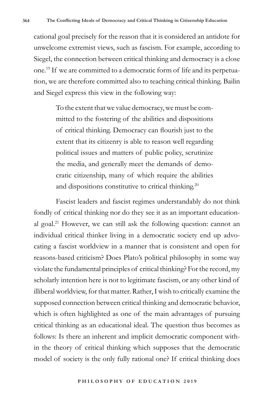cational goal precisely for the reason that it is considered an antidote for unwelcome extremist views, such as fascism. For example, according to Siegel, the connection between critical thinking and democracy is a close one.19 If we are committed to a democratic form of life and its perpetuation, we are therefore committed also to teaching critical thinking. Bailin and Siegel express this view in the following way:

> To the extent that we value democracy, we must be committed to the fostering of the abilities and dispositions of critical thinking. Democracy can flourish just to the extent that its citizenry is able to reason well regarding political issues and matters of public policy, scrutinize the media, and generally meet the demands of democratic citizenship, many of which require the abilities and dispositions constitutive to critical thinking.<sup>20</sup>

Fascist leaders and fascist regimes understandably do not think fondly of critical thinking nor do they see it as an important educational goal.<sup>21</sup> However, we can still ask the following question: cannot an individual critical thinker living in a democratic society end up advocating a fascist worldview in a manner that is consistent and open for reasons-based criticism? Does Plato's political philosophy in some way violate the fundamental principles of critical thinking? For the record, my scholarly intention here is not to legitimate fascism, or any other kind of illiberal worldview, for that matter. Rather, I wish to critically examine the supposed connection between critical thinking and democratic behavior, which is often highlighted as one of the main advantages of pursuing critical thinking as an educational ideal. The question thus becomes as follows: Is there an inherent and implicit democratic component within the theory of critical thinking which supposes that the democratic model of society is the only fully rational one? If critical thinking does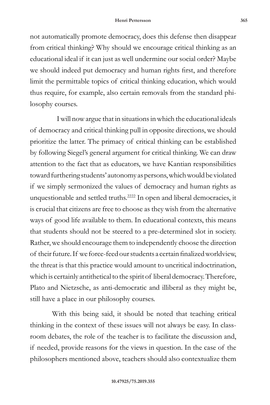not automatically promote democracy, does this defense then disappear from critical thinking? Why should we encourage critical thinking as an educational ideal if it can just as well undermine our social order? Maybe we should indeed put democracy and human rights first, and therefore limit the permittable topics of critical thinking education, which would thus require, for example, also certain removals from the standard philosophy courses.

 I will now argue that in situations in which the educational ideals of democracy and critical thinking pull in opposite directions, we should prioritize the latter. The primacy of critical thinking can be established by following Siegel's general argument for critical thinking. We can draw attention to the fact that as educators, we have Kantian responsibilities toward furthering students' autonomy as persons, which would be violated if we simply sermonized the values of democracy and human rights as unquestionable and settled truths.<sup>2222</sup> In open and liberal democracies, it is crucial that citizens are free to choose as they wish from the alternative ways of good life available to them. In educational contexts, this means that students should not be steered to a pre-determined slot in society. Rather, we should encourage them to independently choose the direction of their future. If we force-feed our students a certain finalized worldview, the threat is that this practice would amount to uncritical indoctrination, which is certainly antithetical to the spirit of liberal democracy. Therefore, Plato and Nietzsche, as anti-democratic and illiberal as they might be, still have a place in our philosophy courses.

With this being said, it should be noted that teaching critical thinking in the context of these issues will not always be easy. In classroom debates, the role of the teacher is to facilitate the discussion and, if needed, provide reasons for the views in question. In the case of the philosophers mentioned above, teachers should also contextualize them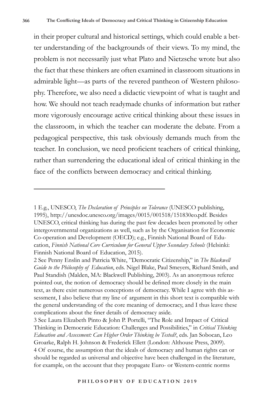in their proper cultural and historical settings, which could enable a better understanding of the backgrounds of their views. To my mind, the problem is not necessarily just what Plato and Nietzsche wrote but also the fact that these thinkers are often examined in classroom situations in admirable light—as parts of the revered pantheon of Western philosophy. Therefore, we also need a didactic viewpoint of what is taught and how. We should not teach readymade chunks of information but rather more vigorously encourage active critical thinking about these issues in the classroom, in which the teacher can moderate the debate. From a pedagogical perspective, this task obviously demands much from the teacher. In conclusion, we need proficient teachers of critical thinking, rather than surrendering the educational ideal of critical thinking in the face of the conflicts between democracy and critical thinking.

<sup>1</sup> E.g., UNESCO, *The Declaration of Principles on Tolerance* (UNESCO publishing, 1995), http://unesdoc.unesco.org/images/0015/001518/151830eo.pdf*.* Besides UNESCO, critical thinking has during the past few decades been promoted by other intergovernmental organizations as well, such as by the Organisation for Economic Co-operation and Development (OECD); e.g., Finnish National Board of Education, *Finnish National Core Curriculum for General Upper Secondary Schools* (Helsinki: Finnish National Board of Education, 2015).

<sup>2</sup> See Penny Enslin and Patricia White, "Democratic Citizenship," in *The Blackwell Guide to the Philosophy of Education*, eds. Nigel Blake, Paul Smeyers, Richard Smith, and Paul Standish (Malden, MA: Blackwell Publishing, 2003). As an anonymous referee pointed out, the notion of democracy should be defined more closely in the main text, as there exist numerous conceptions of democracy. While I agree with this assessment, I also believe that my line of argument in this short text is compatible with the general understanding of the core meaning of democracy, and I thus leave these complications about the finer details of democracy aside.

<sup>3</sup> See Laura Elizabeth Pinto & John P. Portelli, "The Role and Impact of Critical Thinking in Democratic Education: Challenges and Possibilities," in *Critical Thinking Education and Assessment: Can Higher Order Thinking be Tested?*, eds. Jan Sobocan, Leo Groarke, Ralph H. Johnson & Frederick Ellett (London: Althouse Press, 2009). 4 Of course, the assumption that the ideals of democracy and human rights can or should be regarded as universal and objective have been challenged in the literature, for example, on the account that they propagate Euro- or Western-centric norms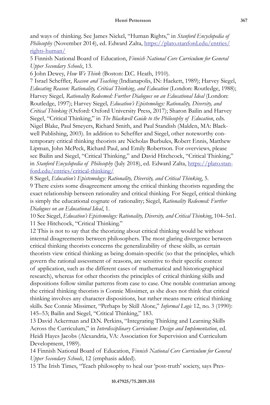and ways of thinking. See James Nickel, "Human Rights," in *Stanford Encyclopedia of*  Philosophy (November 2014), ed. Edward Zalta, https://plato.stanford.edu/entries/ rights-human/

5 Finnish National Board of Education, *Finnish National Core Curriculum for General Upper Secondary Schools*, 13.

6 John Dewey, *How We Think* (Boston: D.C. Heath, 1910).

7 Israel Scheffler, *Reason and Teaching* (Indianapolis, IN: Hackett, 1989); Harvey Siegel, *Educating Reason: Rationality, Critical Thinking, and Education* (London: Routledge, 1988); Harvey Siegel*, Rationality Redeemed: Further Dialogues on an Educational Ideal* (London: Routledge, 1997); Harvey Siegel*, Education's Epistemology: Rationality, Diversity, and Critical Thinking* (Oxford: Oxford University Press, 2017); Sharon Bailin and Harvey Siegel, "Critical Thinking," in *The Blackwell Guide to the Philosophy of Education*, eds. Nigel Blake, Paul Smeyers, Richard Smith, and Paul Standish (Malden, MA: Blackwell Publishing, 2003). In addition to Scheffler and Siegel, other noteworthy contemporary critical thinking theorists are Nicholas Burbules, Robert Ennis, Matthew Lipman, John McPeck, Richard Paul, and Emily Robertson. For overviews, please see Bailin and Siegel, "Critical Thinking," and David Hitchcock, "Critical Thinking," in *Stanford Encyclopedia of Philosophy* (July 2018), ed. Edward Zalta, https://plato.stanford.edu/entries/critical-thinking/

8 Siegel, *Education's Epistemology: Rationality, Diversity, and Critical Thinking*, 5.

9 There exists some disagreement among the critical thinking theorists regarding the exact relationship between rationality and critical thinking. For Siegel, critical thinking is simply the educational cognate of rationality; Siegel, *Rationality Redeemed: Further Dialogues on an Educational Ideal*, 1.

10 See Siegel, *Education's Epistemology: Rationality, Diversity, and Critical Thinking*, 104–5n1. 11 See Hitchcock, "Critical Thinking."

12 This is not to say that the theorizing about critical thinking would be without internal disagreements between philosophers. The most glaring divergence between critical thinking theorists concerns the generalizability of these skills, as certain theorists view critical thinking as being domain-specific (so that the principles, which govern the rational assessment of reasons, are sensitive to their specific context of application, such as the different cases of mathematical and historiographical research), whereas for other theorists the principles of critical thinking skills and dispositions follow similar patterns from case to case. One notable contrarian among the critical thinking theorists is Connie Missimer, as she does not think that critical thinking involves any character dispositions, but rather means mere critical thinking skills. See Connie Missimer, "Perhaps by Skill Alone," *Informal Logic* 12, no. 3 (1990): 145–53; Bailin and Siegel, "Critical Thinking," 183.

13 David Ackerman and D.N. Perkins, "Integrating Thinking and Learning Skills Across the Curriculum," in *Interdisciplinary Curriculum: Design and Implementation*, ed. Heidi Hayes Jacobs (Alexandria, VA: Association for Supervision and Curriculum Development, 1989).

14 Finnish National Board of Education, *Finnish National Core Curriculum for General Upper Secondary Schools*, 12 (emphasis added).

15 The Irish Times, "Teach philosophy to heal our 'post-truth' society, says Pres-